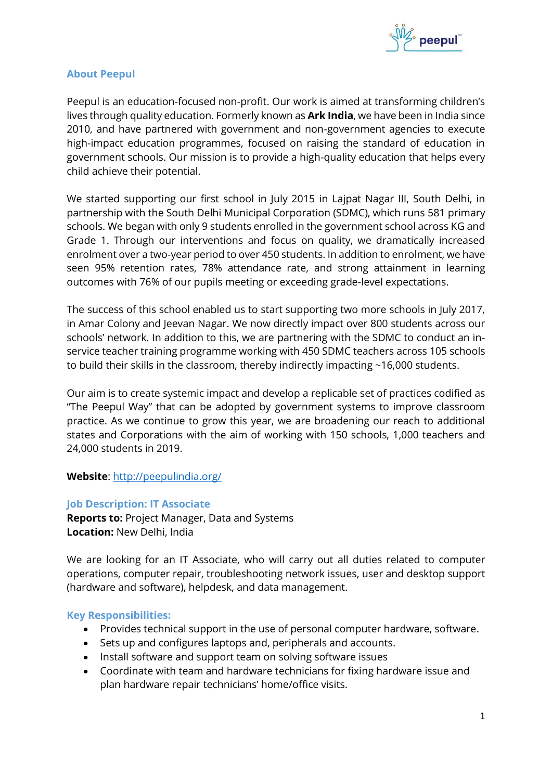

# **About Peepul**

Peepul is an education-focused non-profit. Our work is aimed at transforming children's lives through quality education. Formerly known as **Ark India**, we have been in India since 2010, and have partnered with government and non-government agencies to execute high-impact education programmes, focused on raising the standard of education in government schools. Our mission is to provide a high-quality education that helps every child achieve their potential.

We started supporting our first school in July 2015 in Lajpat Nagar III, South Delhi, in partnership with the South Delhi Municipal Corporation (SDMC), which runs 581 primary schools. We began with only 9 students enrolled in the government school across KG and Grade 1. Through our interventions and focus on quality, we dramatically increased enrolment over a two-year period to over 450 students. In addition to enrolment, we have seen 95% retention rates, 78% attendance rate, and strong attainment in learning outcomes with 76% of our pupils meeting or exceeding grade-level expectations.

The success of this school enabled us to start supporting two more schools in July 2017, in Amar Colony and Jeevan Nagar. We now directly impact over 800 students across our schools' network. In addition to this, we are partnering with the SDMC to conduct an inservice teacher training programme working with 450 SDMC teachers across 105 schools to build their skills in the classroom, thereby indirectly impacting ~16,000 students.

Our aim is to create systemic impact and develop a replicable set of practices codified as "The Peepul Way" that can be adopted by government systems to improve classroom practice. As we continue to grow this year, we are broadening our reach to additional states and Corporations with the aim of working with 150 schools, 1,000 teachers and 24,000 students in 2019.

**Website**:<http://peepulindia.org/>

# **Job Description: IT Associate**

**Reports to:** Project Manager, Data and Systems **Location:** New Delhi, India

We are looking for an IT Associate, who will carry out all duties related to computer operations, computer repair, troubleshooting network issues, user and desktop support (hardware and software), helpdesk, and data management.

#### **Key Responsibilities:**

- Provides technical support in the use of personal computer hardware, software.
- Sets up and configures laptops and, peripherals and accounts.
- Install software and support team on solving software issues
- Coordinate with team and hardware technicians for fixing hardware issue and plan hardware repair technicians' home/office visits.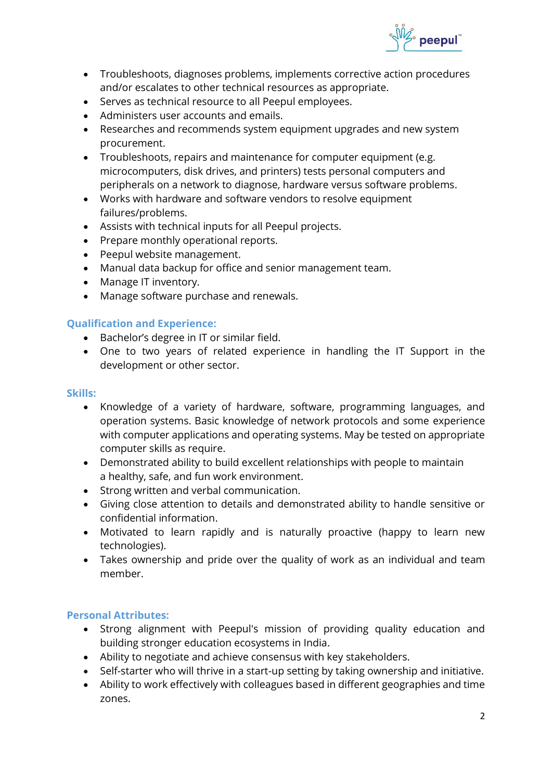

- Troubleshoots, diagnoses problems, implements corrective action procedures and/or escalates to other technical resources as appropriate.
- Serves as technical resource to all Peepul employees.
- Administers user accounts and emails.
- Researches and recommends system equipment upgrades and new system procurement.
- Troubleshoots, repairs and maintenance for computer equipment (e.g. microcomputers, disk drives, and printers) tests personal computers and peripherals on a network to diagnose, hardware versus software problems.
- Works with hardware and software vendors to resolve equipment failures/problems.
- Assists with technical inputs for all Peepul projects.
- Prepare monthly operational reports.
- Peepul website management.
- Manual data backup for office and senior management team.
- Manage IT inventory.
- Manage software purchase and renewals.

# **Qualification and Experience:**

- Bachelor's degree in IT or similar field.
- One to two years of related experience in handling the IT Support in the development or other sector.

#### **Skills:**

- Knowledge of a variety of hardware, software, programming languages, and operation systems. Basic knowledge of network protocols and some experience with computer applications and operating systems. May be tested on appropriate computer skills as require.
- Demonstrated ability to build excellent relationships with people to maintain a healthy, safe, and fun work environment.
- Strong written and verbal communication.
- Giving close attention to details and demonstrated ability to handle sensitive or confidential information.
- Motivated to learn rapidly and is naturally proactive (happy to learn new technologies).
- Takes ownership and pride over the quality of work as an individual and team member.

# **Personal Attributes:**

- Strong alignment with Peepul's mission of providing quality education and building stronger education ecosystems in India.
- Ability to negotiate and achieve consensus with key stakeholders.
- Self-starter who will thrive in a start-up setting by taking ownership and initiative.
- Ability to work effectively with colleagues based in different geographies and time zones.